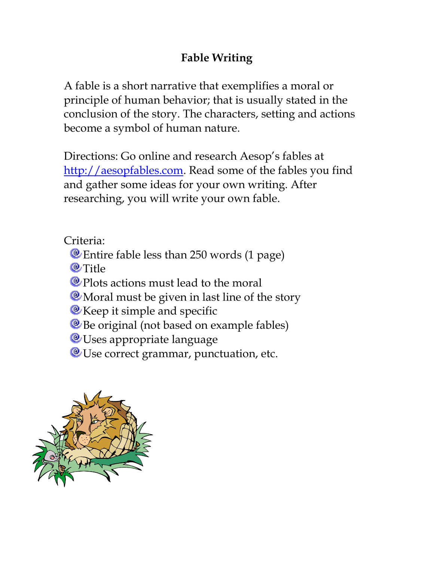## **Fable Writing**

A fable is a short narrative that exemplifies a moral or principle of human behavior; that is usually stated in the conclusion of the story. The characters, setting and actions become a symbol of human nature.

Directions: Go online and research Aesop's fables at [http://aesopfables.com.](http://aesopfables.com/) Read some of the fables you find and gather some ideas for your own writing. After researching, you will write your own fable.

Criteria:

- Entire fable less than 250 words (1 page)
- **@Title**
- <sup>®</sup> Plots actions must lead to the moral
- **W** Moral must be given in last line of the story
- **E** Keep it simple and specific
- <sup>®</sup> Be original (not based on example fables)
- **We Uses appropriate language**
- <sup>®</sup> Use correct grammar, punctuation, etc.